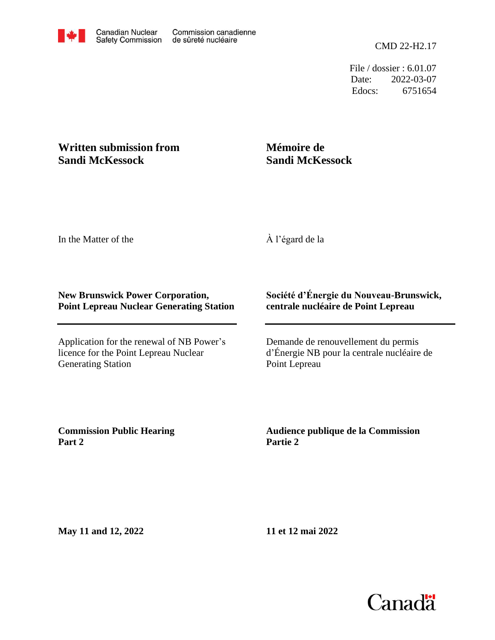File / dossier : 6.01.07 Date: 2022-03-07 Edocs: 6751654

## **Written submission from Sandi McKessock**

## **Mémoire de Sandi McKessock**

In the Matter of the

À l'égard de la

## **New Brunswick Power Corporation, Point Lepreau Nuclear Generating Station**

Application for the renewal of NB Power's licence for the Point Lepreau Nuclear Generating Station

## **Société d'Énergie du Nouveau-Brunswick, centrale nucléaire de Point Lepreau**

Demande de renouvellement du permis d'Énergie NB pour la centrale nucléaire de Point Lepreau

**Commission Public Hearing Part 2**

**Audience publique de la Commission Partie 2**

**May 11 and 12, 2022**

**11 et 12 mai 2022**